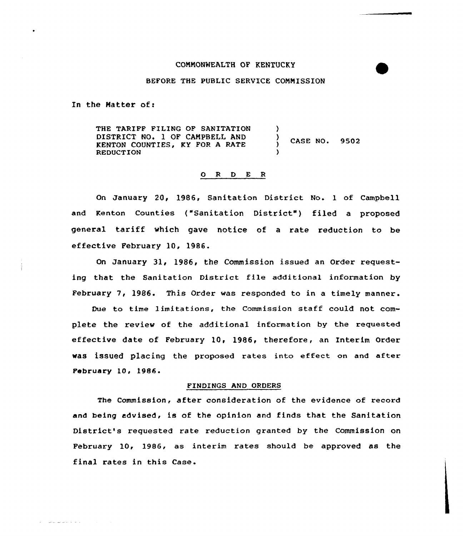## COMMONNEALTH OF KENTUCKY

## BEFORE THE PUBLIC SERVICE COMMISSION

In the Matter of:

and and a string

THE TARIFF FILING OF SANITATION DISTRICT NO. 1 OF CAMPBELL AND KENTON COUNTIES, KY FOR A RATE REDUCTION )  $\langle$  CASE NO. 9502 )

## 0 <sup>R</sup> <sup>D</sup> E <sup>R</sup>

On January 20, 1986, Sanitation District No. <sup>1</sup> of Campbell and Kenton Counties ("Sanitation District") filed a proposed general tariff which gave notice of <sup>a</sup> rate reduction to be effective February 10, 1986.

On January 31, 1986, the Commission issued an order requesting that the Sanitation District file additional information by February 7, 1986. This Order was responded to in a timely manner.

Due to time limitations, the Commission staff could not complete the review of the additional information by the requested effective date of February 10, 1986, therefore, an Interim Order was issued placing the proposed rates into effect on and after February 10, 1986.

## FINDINGS AND ORDERS

The Commission, after consideration of the evidence of record and being advised, is of the opinion and finds that the Sanitation District's requested rate reduction granted by the Commission on February 10, 1986, as interim rates should be approved as the final rates in this Case.